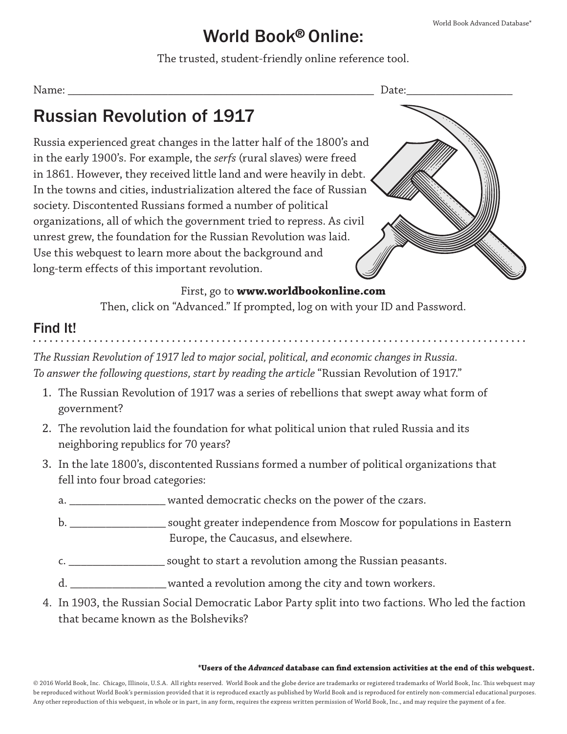## World Book® Online:

The trusted, student-friendly online reference tool.

| ۰.<br>۰<br>v<br>۰. |  |
|--------------------|--|
|                    |  |

# Russian Revolution of 1917

Russia experienced great changes in the latter half of the 1800's and in the early 1900's. For example, the *serfs* (rural slaves) were freed in 1861. However, they received little land and were heavily in debt. In the towns and cities, industrialization altered the face of Russian society. Discontented Russians formed a number of political organizations, all of which the government tried to repress. As civil unrest grew, the foundation for the Russian Revolution was laid. Use this webquest to learn more about the background and long-term effects of this important revolution.



### First, go to **www.worldbookonline.com**

Then, click on "Advanced." If prompted, log on with your ID and Password.

## Find It!

*The Russian Revolution of 1917 led to major social, political, and economic changes in Russia. To answer the following questions, start by reading the article* "Russian Revolution of 1917."

- 1. The Russian Revolution of 1917 was a series of rebellions that swept away what form of government?
- 2. The revolution laid the foundation for what political union that ruled Russia and its neighboring republics for 70 years?
- 3. In the late 1800's, discontented Russians formed a number of political organizations that fell into four broad categories:
	- a. \_\_\_\_\_\_\_\_\_\_\_\_\_\_\_\_\_\_\_ wanted democratic checks on the power of the czars.
	- b. \_\_\_\_\_\_\_\_\_\_\_\_\_\_\_\_ sought greater independence from Moscow for populations in Eastern Europe, the Caucasus, and elsewhere.
	- c. \_\_\_\_\_\_\_\_\_\_\_\_\_\_\_\_ sought to start a revolution among the Russian peasants.
	- d. \_\_\_\_\_\_\_\_\_\_\_\_\_\_\_\_ wanted a revolution among the city and town workers.
- 4. In 1903, the Russian Social Democratic Labor Party split into two factions. Who led the faction that became known as the Bolsheviks?

#### **\*Users of the** *Advanced* **database can find extension activities at the end of this webquest.**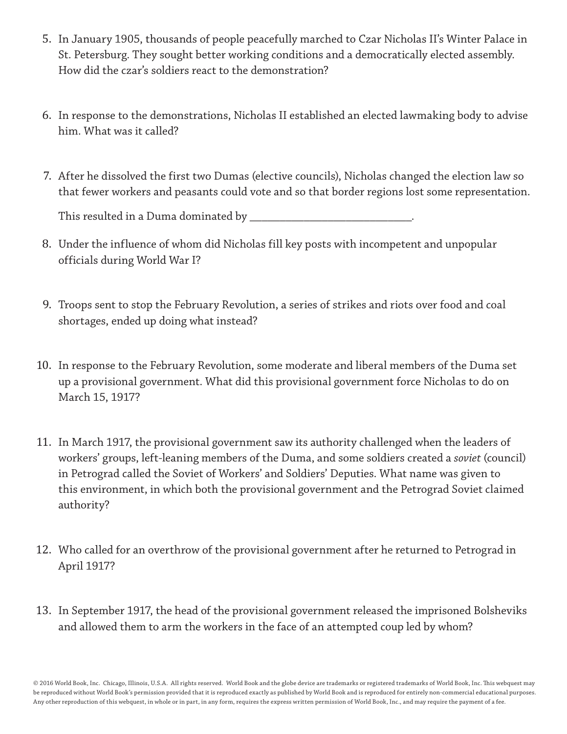- 5. In January 1905, thousands of people peacefully marched to Czar Nicholas II's Winter Palace in St. Petersburg. They sought better working conditions and a democratically elected assembly. How did the czar's soldiers react to the demonstration?
- 6. In response to the demonstrations, Nicholas II established an elected lawmaking body to advise him. What was it called?
- 7. After he dissolved the first two Dumas (elective councils), Nicholas changed the election law so that fewer workers and peasants could vote and so that border regions lost some representation.

This resulted in a Duma dominated by \_\_\_\_\_\_\_\_\_\_\_\_\_\_\_\_\_\_\_\_\_\_\_\_\_\_\_.

- 8. Under the influence of whom did Nicholas fill key posts with incompetent and unpopular officials during World War I?
- 9. Troops sent to stop the February Revolution, a series of strikes and riots over food and coal shortages, ended up doing what instead?
- 10. In response to the February Revolution, some moderate and liberal members of the Duma set up a provisional government. What did this provisional government force Nicholas to do on March 15, 1917?
- 11. In March 1917, the provisional government saw its authority challenged when the leaders of workers' groups, left-leaning members of the Duma, and some soldiers created a *soviet* (council) in Petrograd called the Soviet of Workers' and Soldiers' Deputies. What name was given to this environment, in which both the provisional government and the Petrograd Soviet claimed authority?
- 12. Who called for an overthrow of the provisional government after he returned to Petrograd in April 1917?
- 13. In September 1917, the head of the provisional government released the imprisoned Bolsheviks and allowed them to arm the workers in the face of an attempted coup led by whom?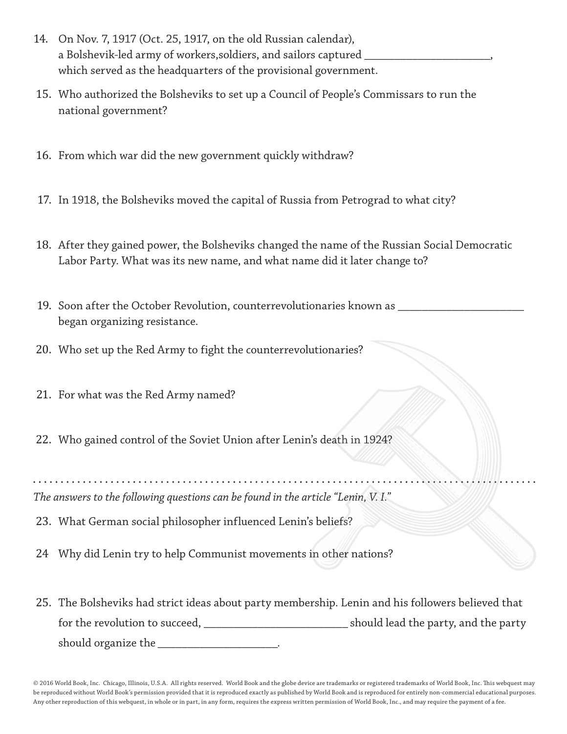- 14. On Nov. 7, 1917 (Oct. 25, 1917, on the old Russian calendar), a Bolshevik-led army of workers,soldiers, and sailors captured \_\_\_\_\_\_\_\_\_\_\_\_\_\_\_\_\_\_\_\_\_, which served as the headquarters of the provisional government.
- 15. Who authorized the Bolsheviks to set up a Council of People's Commissars to run the national government?
- 16. From which war did the new government quickly withdraw?
- 17. In 1918, the Bolsheviks moved the capital of Russia from Petrograd to what city?
- 18. After they gained power, the Bolsheviks changed the name of the Russian Social Democratic Labor Party. What was its new name, and what name did it later change to?
- 19. Soon after the October Revolution, counterrevolutionaries known as wellbegan organizing resistance.
- 20. Who set up the Red Army to fight the counterrevolutionaries?
- 21. For what was the Red Army named?
- 22. Who gained control of the Soviet Union after Lenin's death in 1924?

*The answers to the following questions can be found in the article "Lenin, V. I."*

- 23. What German social philosopher influenced Lenin's beliefs?
- 24 Why did Lenin try to help Communist movements in other nations?
- 25. The Bolsheviks had strict ideas about party membership. Lenin and his followers believed that for the revolution to succeed, \_\_\_\_\_\_\_\_\_\_\_\_\_\_\_\_\_\_\_\_\_\_\_\_ should lead the party, and the party should organize the  $\blacksquare$

© 2016 World Book, Inc. Chicago, Illinois, U.S.A. All rights reserved. World Book and the globe device are trademarks or registered trademarks of World Book, Inc. This webquest may be reproduced without World Book's permission provided that it is reproduced exactly as published by World Book and is reproduced for entirely non-commercial educational purposes. Any other reproduction of this webquest, in whole or in part, in any form, requires the express written permission of World Book, Inc., and may require the payment of a fee.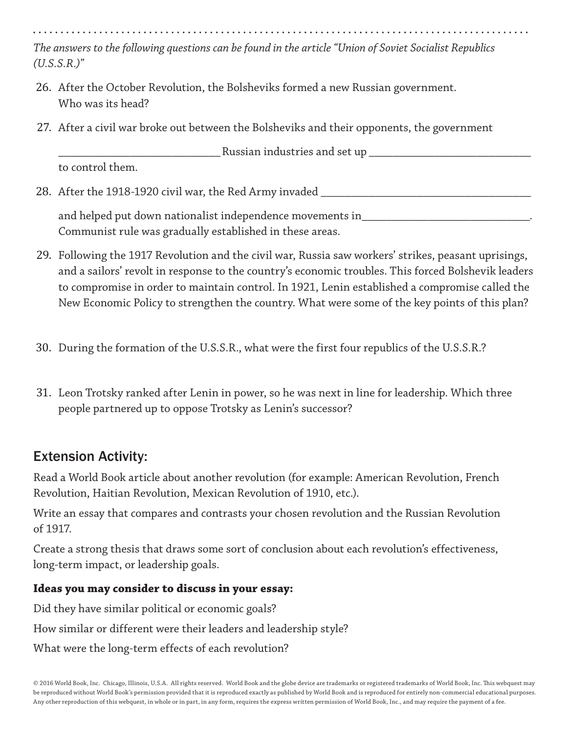*The answers to the following questions can be found in the article "Union of Soviet Socialist Republics (U.S.S.R.)"*

- 26. After the October Revolution, the Bolsheviks formed a new Russian government. Who was its head?
- 27. After a civil war broke out between the Bolsheviks and their opponents, the government

\_\_\_\_\_\_\_\_\_\_\_\_\_\_\_\_\_\_\_\_\_\_\_\_\_\_\_ Russian industries and set up \_\_\_\_\_\_\_\_\_\_\_\_\_\_\_\_\_\_\_\_\_\_\_\_\_\_\_

to control them.

28. After the 1918-1920 civil war, the Red Army invaded \_\_\_\_\_\_\_\_\_\_\_\_\_\_\_\_\_\_\_\_\_\_\_\_\_\_\_\_\_\_\_\_\_\_\_

and helped put down nationalist independence movements in\_\_\_\_\_\_\_\_\_\_\_\_\_\_\_\_\_\_\_\_\_\_\_ Communist rule was gradually established in these areas.

- 29. Following the 1917 Revolution and the civil war, Russia saw workers' strikes, peasant uprisings, and a sailors' revolt in response to the country's economic troubles. This forced Bolshevik leaders to compromise in order to maintain control. In 1921, Lenin established a compromise called the New Economic Policy to strengthen the country. What were some of the key points of this plan?
- 30. During the formation of the U.S.S.R., what were the first four republics of the U.S.S.R.?
- 31. Leon Trotsky ranked after Lenin in power, so he was next in line for leadership. Which three people partnered up to oppose Trotsky as Lenin's successor?

## Extension Activity:

Read a World Book article about another revolution (for example: American Revolution, French Revolution, Haitian Revolution, Mexican Revolution of 1910, etc.).

Write an essay that compares and contrasts your chosen revolution and the Russian Revolution of 1917.

Create a strong thesis that draws some sort of conclusion about each revolution's effectiveness, long-term impact, or leadership goals.

### **Ideas you may consider to discuss in your essay:**

Did they have similar political or economic goals?

How similar or different were their leaders and leadership style?

What were the long-term effects of each revolution?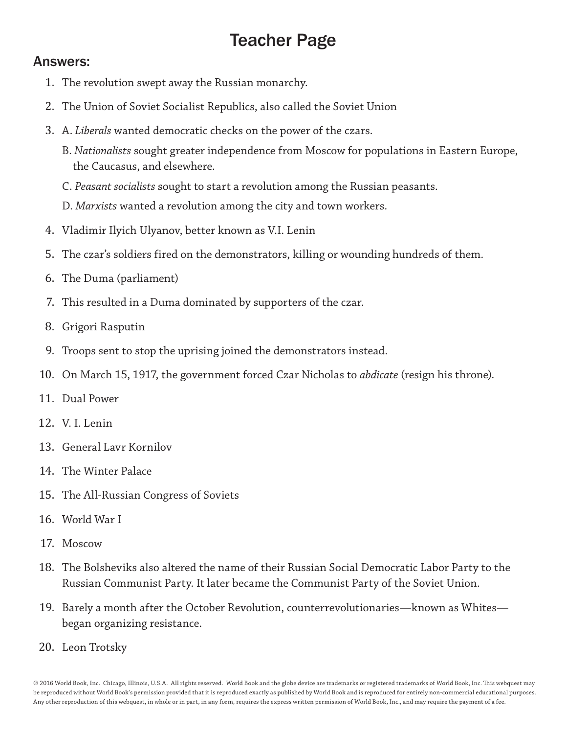# Teacher Page

### Answers:

- 1. The revolution swept away the Russian monarchy.
- 2. The Union of Soviet Socialist Republics, also called the Soviet Union
- 3. A. *Liberals* wanted democratic checks on the power of the czars.
	- B. *Nationalists* sought greater independence from Moscow for populations in Eastern Europe, the Caucasus, and elsewhere.
	- C. *Peasant socialists* sought to start a revolution among the Russian peasants.
	- D. *Marxists* wanted a revolution among the city and town workers.
- 4. Vladimir Ilyich Ulyanov, better known as V.I. Lenin
- 5. The czar's soldiers fired on the demonstrators, killing or wounding hundreds of them.
- 6. The Duma (parliament)
- 7. This resulted in a Duma dominated by supporters of the czar.
- 8. Grigori Rasputin
- 9. Troops sent to stop the uprising joined the demonstrators instead.
- 10. On March 15, 1917, the government forced Czar Nicholas to *abdicate* (resign his throne).
- 11. Dual Power
- 12. V. I. Lenin
- 13. General Lavr Kornilov
- 14. The Winter Palace
- 15. The All-Russian Congress of Soviets
- 16. World War I
- 17. Moscow
- 18. The Bolsheviks also altered the name of their Russian Social Democratic Labor Party to the Russian Communist Party. It later became the Communist Party of the Soviet Union.
- 19. Barely a month after the October Revolution, counterrevolutionaries—known as Whites began organizing resistance.
- 20. Leon Trotsky